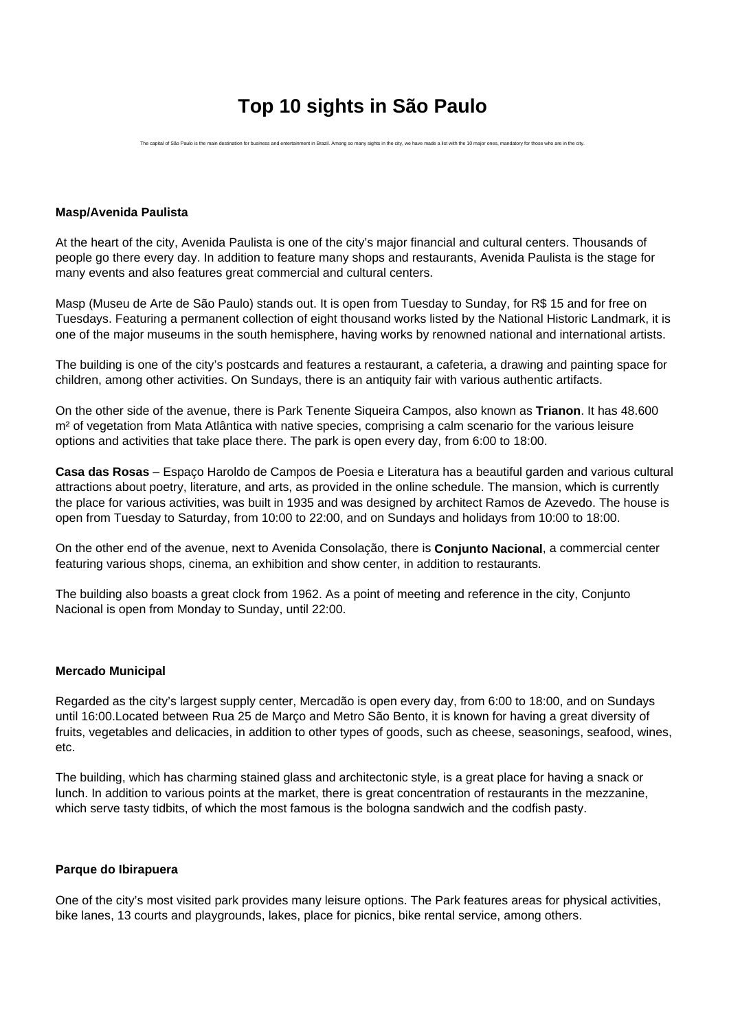# **Top 10 sights in São Paulo**

The capital of São Paulo is the main destination for business and entertainment in Brazil. Among so many sights in the city, we have made a list with the 10 major ones, mandatory for those who are in the city.

#### **Masp/Avenida Paulista**

At the heart of the city, Avenida Paulista is one of the city's major financial and cultural centers. Thousands of people go there every day. In addition to feature many shops and restaurants, Avenida Paulista is the stage for many events and also features great commercial and cultural centers.

Masp (Museu de Arte de São Paulo) stands out. It is open from Tuesday to Sunday, for R\$ 15 and for free on Tuesdays. Featuring a permanent collection of eight thousand works listed by the National Historic Landmark, it is one of the major museums in the south hemisphere, having works by renowned national and international artists.

The building is one of the city's postcards and features a restaurant, a cafeteria, a drawing and painting space for children, among other activities. On Sundays, there is an antiquity fair with various authentic artifacts.

On the other side of the avenue, there is Park Tenente Siqueira Campos, also known as **Trianon**. It has 48.600 m² of vegetation from Mata Atlântica with native species, comprising a calm scenario for the various leisure options and activities that take place there. The park is open every day, from 6:00 to 18:00.

**Casa das Rosas** – Espaço Haroldo de Campos de Poesia e Literatura has a beautiful garden and various cultural attractions about poetry, literature, and arts, as provided in the online schedule. The mansion, which is currently the place for various activities, was built in 1935 and was designed by architect Ramos de Azevedo. The house is open from Tuesday to Saturday, from 10:00 to 22:00, and on Sundays and holidays from 10:00 to 18:00.

On the other end of the avenue, next to Avenida Consolação, there is **Conjunto Nacional**, a commercial center featuring various shops, cinema, an exhibition and show center, in addition to restaurants.

The building also boasts a great clock from 1962. As a point of meeting and reference in the city, Conjunto Nacional is open from Monday to Sunday, until 22:00.

#### **Mercado Municipal**

Regarded as the city's largest supply center, Mercadão is open every day, from 6:00 to 18:00, and on Sundays until 16:00.Located between Rua 25 de Março and Metro São Bento, it is known for having a great diversity of fruits, vegetables and delicacies, in addition to other types of goods, such as cheese, seasonings, seafood, wines, etc.

The building, which has charming stained glass and architectonic style, is a great place for having a snack or lunch. In addition to various points at the market, there is great concentration of restaurants in the mezzanine, which serve tasty tidbits, of which the most famous is the bologna sandwich and the codfish pasty.

#### **Parque do Ibirapuera**

One of the city's most visited park provides many leisure options. The Park features areas for physical activities, bike lanes, 13 courts and playgrounds, lakes, place for picnics, bike rental service, among others.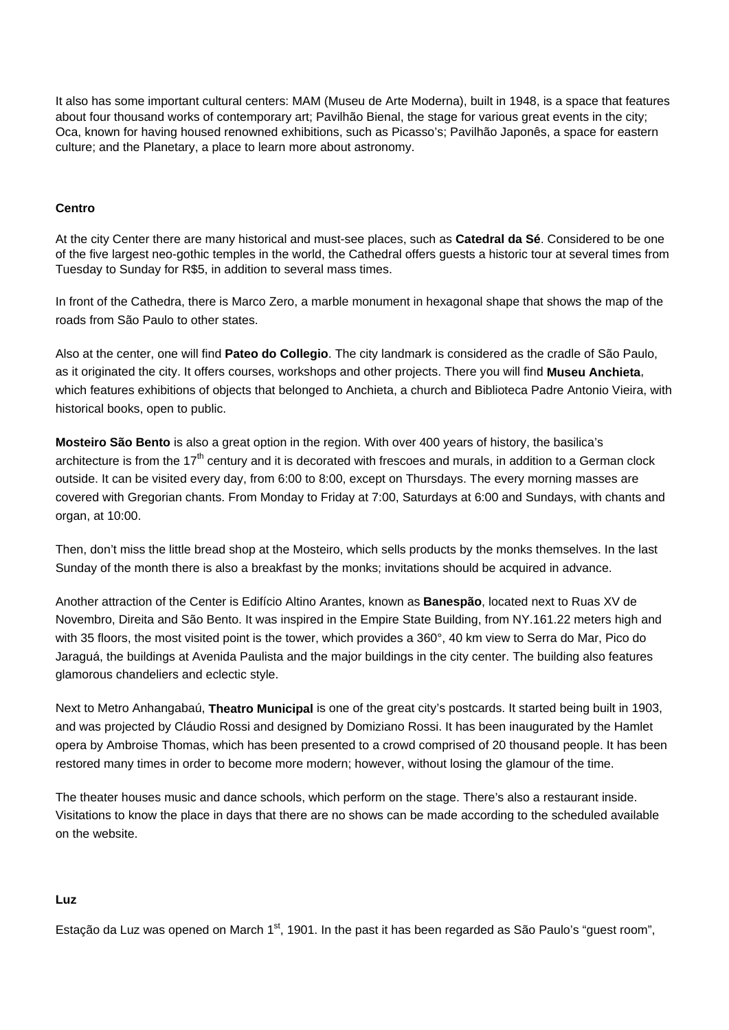It also has some important cultural centers: MAM (Museu de Arte Moderna), built in 1948, is a space that features about four thousand works of contemporary art; Pavilhão Bienal, the stage for various great events in the city; Oca, known for having housed renowned exhibitions, such as Picasso's; Pavilhão Japonês, a space for eastern culture; and the Planetary, a place to learn more about astronomy.

## **Centro**

At the city Center there are many historical and must-see places, such as **Catedral da Sé**. Considered to be one of the five largest neo-gothic temples in the world, the Cathedral offers guests a historic tour at several times from Tuesday to Sunday for R\$5, in addition to several mass times.

In front of the Cathedra, there is Marco Zero, a marble monument in hexagonal shape that shows the map of the roads from São Paulo to other states.

Also at the center, one will find **Pateo do Collegio**. The city landmark is considered as the cradle of São Paulo, as it originated the city. It offers courses, workshops and other projects. There you will find **Museu Anchieta**, which features exhibitions of objects that belonged to Anchieta, a church and Biblioteca Padre Antonio Vieira, with historical books, open to public.

**Mosteiro São Bento** is also a great option in the region. With over 400 years of history, the basilica's architecture is from the 17<sup>th</sup> century and it is decorated with frescoes and murals, in addition to a German clock outside. It can be visited every day, from 6:00 to 8:00, except on Thursdays. The every morning masses are covered with Gregorian chants. From Monday to Friday at 7:00, Saturdays at 6:00 and Sundays, with chants and organ, at 10:00.

Then, don't miss the little bread shop at the Mosteiro, which sells products by the monks themselves. In the last Sunday of the month there is also a breakfast by the monks; invitations should be acquired in advance.

Another attraction of the Center is Edifício Altino Arantes, known as **Banespão**, located next to Ruas XV de Novembro, Direita and São Bento. It was inspired in the Empire State Building, from NY.161.22 meters high and with 35 floors, the most visited point is the tower, which provides a 360°, 40 km view to Serra do Mar, Pico do Jaraguá, the buildings at Avenida Paulista and the major buildings in the city center. The building also features glamorous chandeliers and eclectic style.

Next to Metro Anhangabaú, **Theatro Municipal** is one of the great city's postcards. It started being built in 1903, and was projected by Cláudio Rossi and designed by Domiziano Rossi. It has been inaugurated by the Hamlet opera by Ambroise Thomas, which has been presented to a crowd comprised of 20 thousand people. It has been restored many times in order to become more modern; however, without losing the glamour of the time.

The theater houses music and dance schools, which perform on the stage. There's also a restaurant inside. Visitations to know the place in days that there are no shows can be made according to the scheduled available on the website.

#### **Luz**

Estação da Luz was opened on March 1<sup>st</sup>, 1901. In the past it has been regarded as São Paulo's "quest room",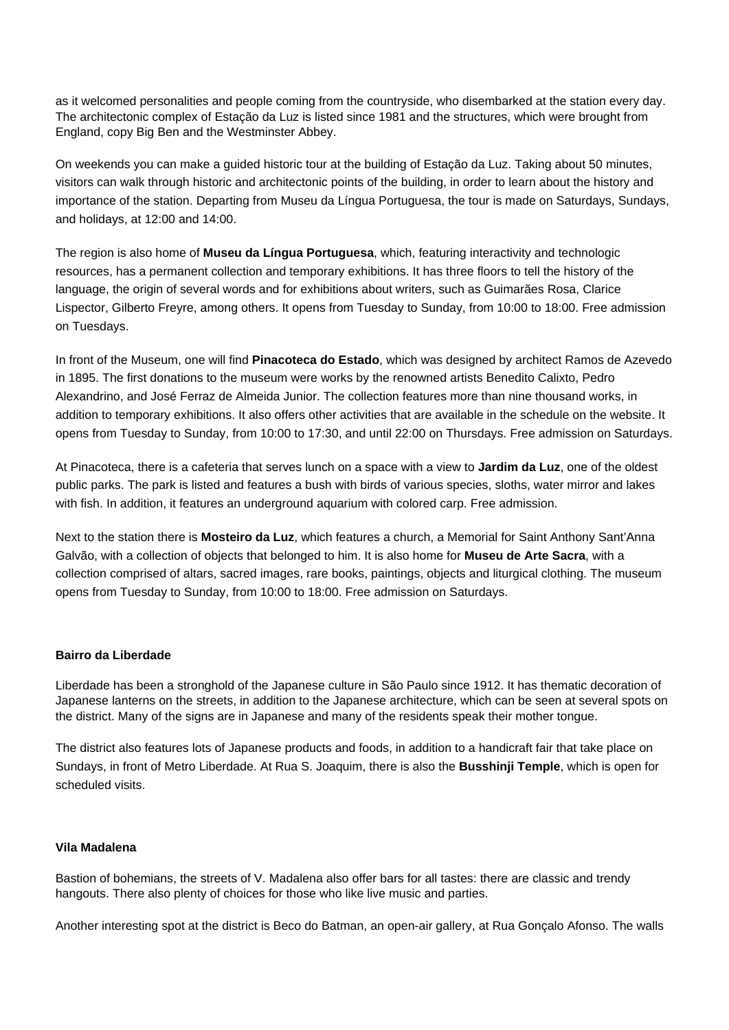as it welcomed personalities and people coming from the countryside, who disembarked at the station every day. The architectonic complex of Estação da Luz is listed since 1981 and the structures, which were brought from England, copy Big Ben and the Westminster Abbey.

On weekends you can make a guided historic tour at the building of Estação da Luz. Taking about 50 minutes, visitors can walk through historic and architectonic points of the building, in order to learn about the history and importance of the station. Departing from Museu da Língua Portuguesa, the tour is made on Saturdays, Sundays, and holidays, at 12:00 and 14:00.

The region is also home of **Museu da Língua Portuguesa**, which, featuring interactivity and technologic resources, has a permanent collection and temporary exhibitions. It has three floors to tell the history of the language, the origin of several words and for exhibitions about writers, such as Guimarães Rosa, Clarice Lispector, Gilberto Freyre, among others. It opens from Tuesday to Sunday, from 10:00 to 18:00. Free admission on Tuesdays.

In front of the Museum, one will find **Pinacoteca do Estado**, which was designed by architect Ramos de Azevedo in 1895. The first donations to the museum were works by the renowned artists Benedito Calixto, Pedro Alexandrino, and José Ferraz de Almeida Junior. The collection features more than nine thousand works, in addition to temporary exhibitions. It also offers other activities that are available in the schedule on the website. It opens from Tuesday to Sunday, from 10:00 to 17:30, and until 22:00 on Thursdays. Free admission on Saturdays.

At Pinacoteca, there is a cafeteria that serves lunch on a space with a view to **Jardim da Luz**, one of the oldest public parks. The park is listed and features a bush with birds of various species, sloths, water mirror and lakes with fish. In addition, it features an underground aquarium with colored carp. Free admission.

Next to the station there is **Mosteiro da Luz**, which features a church, a Memorial for Saint Anthony Sant'Anna Galvão, with a collection of objects that belonged to him. It is also home for **Museu de Arte Sacra**, with a collection comprised of altars, sacred images, rare books, paintings, objects and liturgical clothing. The museum opens from Tuesday to Sunday, from 10:00 to 18:00. Free admission on Saturdays.

## **Bairro da Liberdade**

Liberdade has been a stronghold of the Japanese culture in São Paulo since 1912. It has thematic decoration of Japanese lanterns on the streets, in addition to the Japanese architecture, which can be seen at several spots on the district. Many of the signs are in Japanese and many of the residents speak their mother tongue.

The district also features lots of Japanese products and foods, in addition to a handicraft fair that take place on Sundays, in front of Metro Liberdade. At Rua S. Joaquim, there is also the **Busshinji Temple**, which is open for scheduled visits.

#### **Vila Madalena**

Bastion of bohemians, the streets of V. Madalena also offer bars for all tastes: there are classic and trendy hangouts. There also plenty of choices for those who like live music and parties.

Another interesting spot at the district is Beco do Batman, an open-air gallery, at Rua Gonçalo Afonso. The walls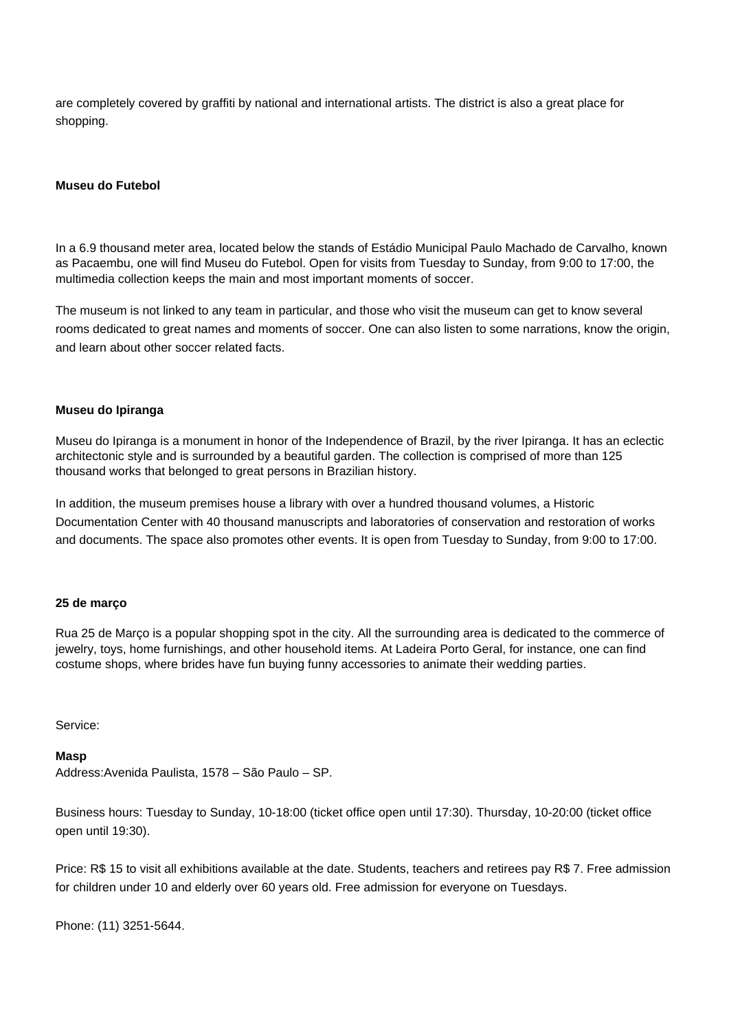are completely covered by graffiti by national and international artists. The district is also a great place for shopping.

#### **Museu do Futebol**

In a 6.9 thousand meter area, located below the stands of Estádio Municipal Paulo Machado de Carvalho, known as Pacaembu, one will find Museu do Futebol. Open for visits from Tuesday to Sunday, from 9:00 to 17:00, the multimedia collection keeps the main and most important moments of soccer.

The museum is not linked to any team in particular, and those who visit the museum can get to know several rooms dedicated to great names and moments of soccer. One can also listen to some narrations, know the origin, and learn about other soccer related facts.

#### **Museu do Ipiranga**

Museu do Ipiranga is a monument in honor of the Independence of Brazil, by the river Ipiranga. It has an eclectic architectonic style and is surrounded by a beautiful garden. The collection is comprised of more than 125 thousand works that belonged to great persons in Brazilian history.

In addition, the museum premises house a library with over a hundred thousand volumes, a Historic Documentation Center with 40 thousand manuscripts and laboratories of conservation and restoration of works and documents. The space also promotes other events. It is open from Tuesday to Sunday, from 9:00 to 17:00.

#### **25 de março**

Rua 25 de Março is a popular shopping spot in the city. All the surrounding area is dedicated to the commerce of jewelry, toys, home furnishings, and other household items. At Ladeira Porto Geral, for instance, one can find costume shops, where brides have fun buying funny accessories to animate their wedding parties.

Service:

#### **Masp**

Address:Avenida Paulista, 1578 – São Paulo – SP.

Business hours: Tuesday to Sunday, 10-18:00 (ticket office open until 17:30). Thursday, 10-20:00 (ticket office open until 19:30).

Price: R\$ 15 to visit all exhibitions available at the date. Students, teachers and retirees pay R\$ 7. Free admission for children under 10 and elderly over 60 years old. Free admission for everyone on Tuesdays.

Phone: (11) 3251-5644.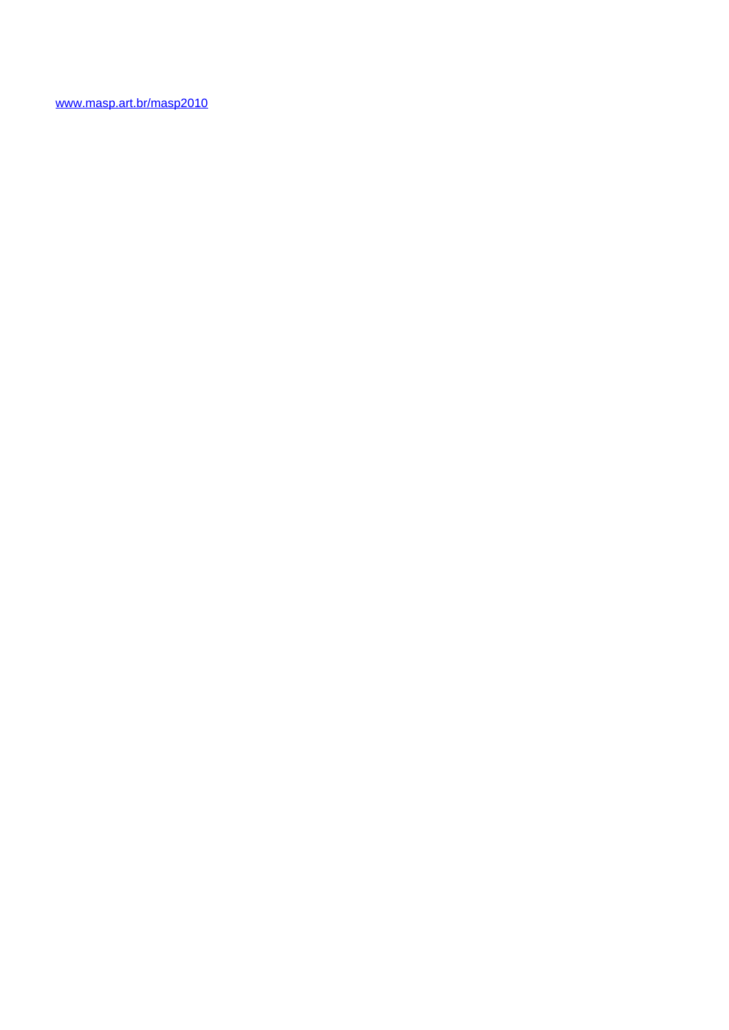<www.masp.art.br/masp2010>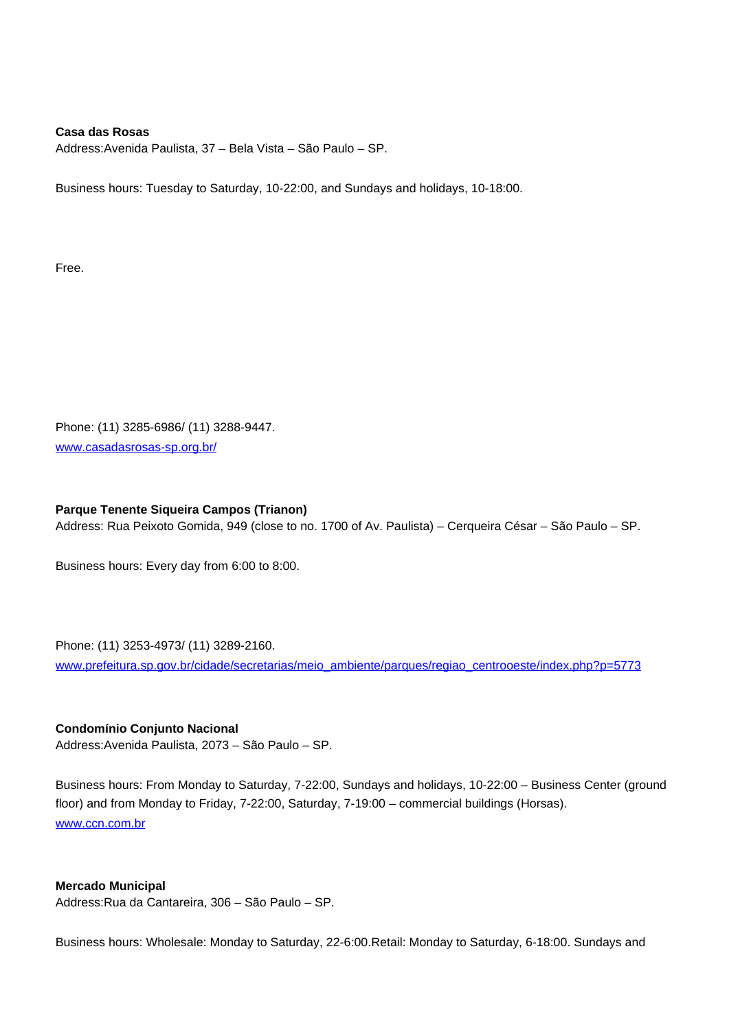## **Casa das Rosas**

Address:Avenida Paulista, 37 – Bela Vista – São Paulo – SP.

Business hours: Tuesday to Saturday, 10-22:00, and Sundays and holidays, 10-18:00.

Free.

Phone: (11) 3285-6986/ (11) 3288-9447. www.casadasrosas-sp.org.br/

#### **Parque Tenente Siqueira Campos (Trianon)**

Address: Rua Peixoto Gomida, 949 (close to no. 1700 of Av. Paulista) – Cerqueira César – São Paulo – SP.

Business hours: Every day from 6:00 to 8:00.

#### Phone: (11) 3253-4973/ (11) 3289-2160.

www.prefeitura.sp.gov.br/cidade/secretarias/meio\_ambiente/parques/regiao\_centrooeste/index.php?p=5773

# **Condomínio Conjunto Nacional**

Address:Avenida Paulista, 2073 – São Paulo – SP.

Business hours: From Monday to Saturday, 7-22:00, Sundays and holidays, 10-22:00 – Business Center (ground floor) and from Monday to Friday, 7-22:00, Saturday, 7-19:00 – commercial buildings (Horsas). www.ccn.com.br

#### **Mercado Municipal**

Address:Rua da Cantareira, 306 – São Paulo – SP.

Business hours: Wholesale: Monday to Saturday, 22-6:00.Retail: Monday to Saturday, 6-18:00. Sundays and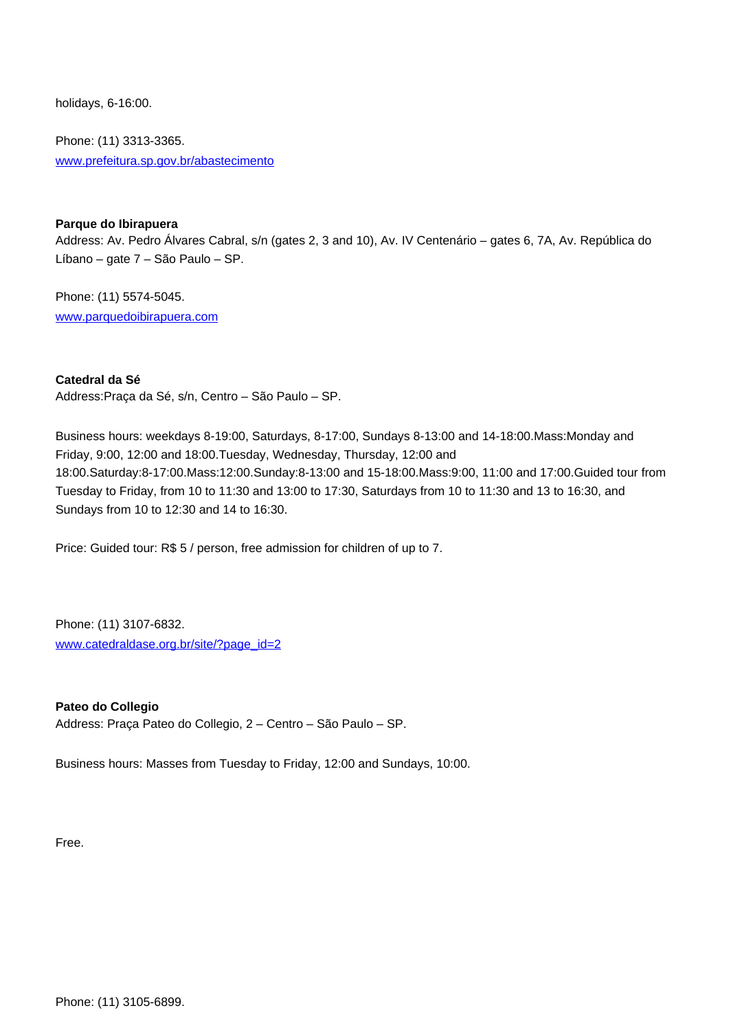holidays, 6-16:00.

Phone: (11) 3313-3365. www.prefeitura.sp.gov.br/abastecimento

# **Parque do Ibirapuera**

Address: Av. Pedro Álvares Cabral, s/n (gates 2, 3 and 10), Av. IV Centenário – gates 6, 7A, Av. República do Líbano – gate 7 – São Paulo – SP.

Phone: (11) 5574-5045. www.parquedoibirapuera.com

**Catedral da Sé**

Address:Praça da Sé, s/n, Centro – São Paulo – SP.

Business hours: weekdays 8-19:00, Saturdays, 8-17:00, Sundays 8-13:00 and 14-18:00.Mass:Monday and Friday, 9:00, 12:00 and 18:00.Tuesday, Wednesday, Thursday, 12:00 and 18:00.Saturday:8-17:00.Mass:12:00.Sunday:8-13:00 and 15-18:00.Mass:9:00, 11:00 and 17:00.Guided tour from Tuesday to Friday, from 10 to 11:30 and 13:00 to 17:30, Saturdays from 10 to 11:30 and 13 to 16:30, and Sundays from 10 to 12:30 and 14 to 16:30.

Price: Guided tour: R\$ 5 / person, free admission for children of up to 7.

Phone: (11) 3107-6832. www.catedraldase.org.br/site/?page\_id=2

**Pateo do Collegio** Address: Praça Pateo do Collegio, 2 – Centro – São Paulo – SP.

Business hours: Masses from Tuesday to Friday, 12:00 and Sundays, 10:00.

Free.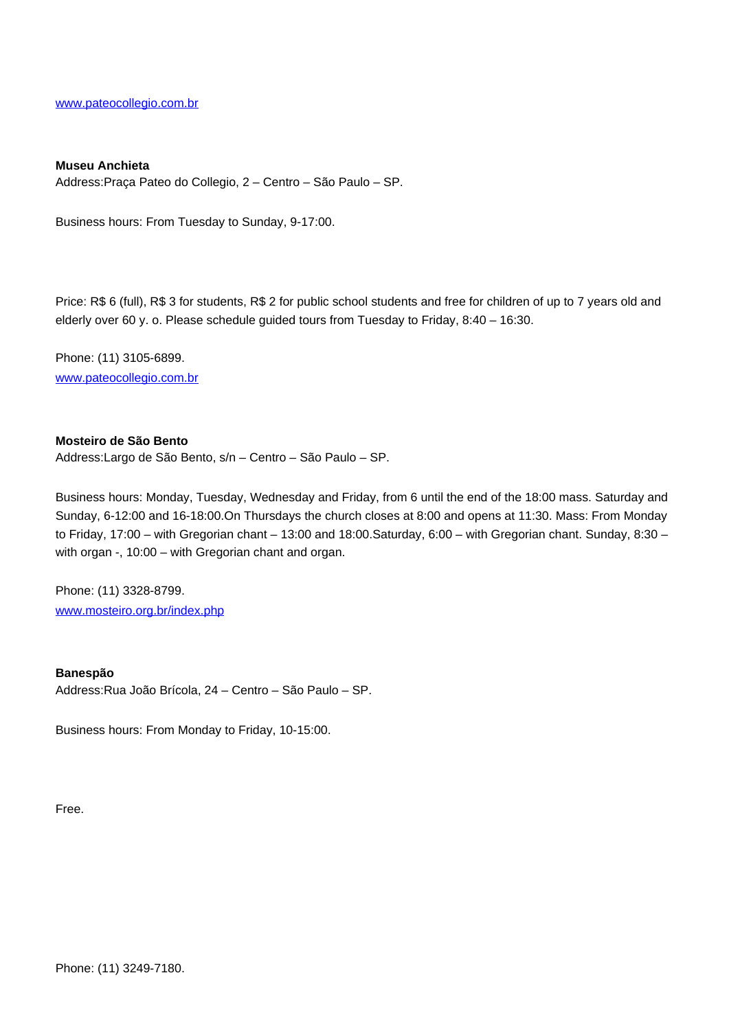www.pateocollegio.com.br

#### **Museu Anchieta**

Address:Praça Pateo do Collegio, 2 – Centro – São Paulo – SP.

Business hours: From Tuesday to Sunday, 9-17:00.

Price: R\$ 6 (full), R\$ 3 for students, R\$ 2 for public school students and free for children of up to 7 years old and elderly over 60 y. o. Please schedule guided tours from Tuesday to Friday, 8:40 – 16:30.

Phone: (11) 3105-6899. www.pateocollegio.com.br

## **Mosteiro de São Bento**

Address:Largo de São Bento, s/n – Centro – São Paulo – SP.

Business hours: Monday, Tuesday, Wednesday and Friday, from 6 until the end of the 18:00 mass. Saturday and Sunday, 6-12:00 and 16-18:00.On Thursdays the church closes at 8:00 and opens at 11:30. Mass: From Monday to Friday, 17:00 – with Gregorian chant – 13:00 and 18:00.Saturday, 6:00 – with Gregorian chant. Sunday, 8:30 – with organ -, 10:00 – with Gregorian chant and organ.

Phone: (11) 3328-8799. www.mosteiro.org.br/index.php

**Banespão** Address:Rua João Brícola, 24 – Centro – São Paulo – SP.

Business hours: From Monday to Friday, 10-15:00.

Free.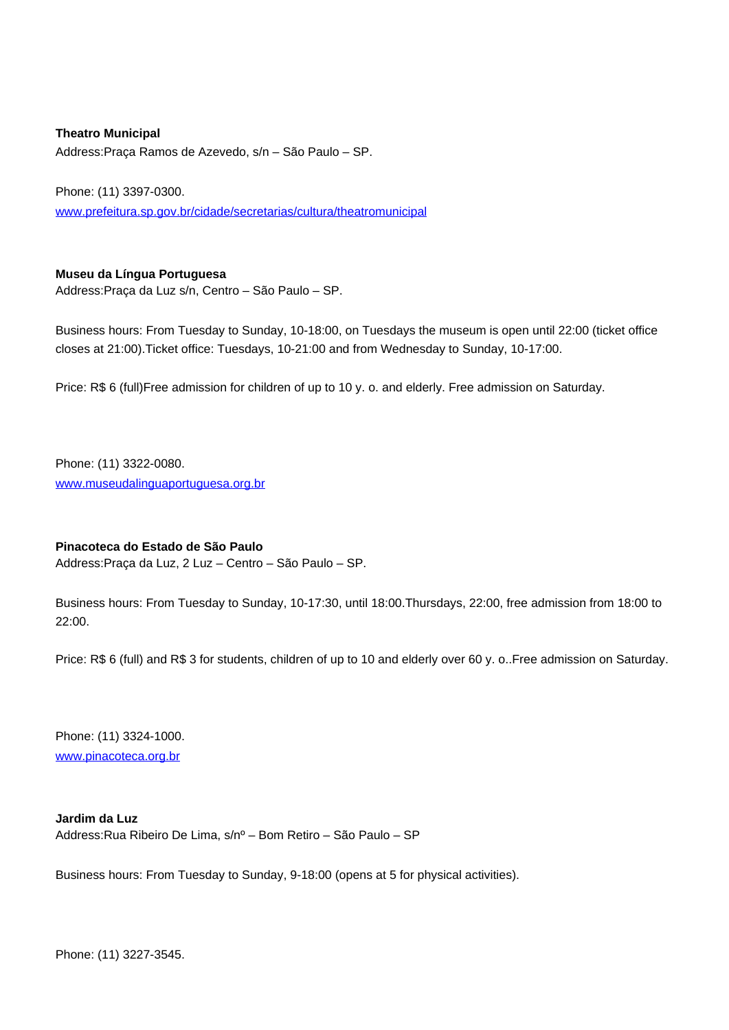**Theatro Municipal** Address:Praça Ramos de Azevedo, s/n – São Paulo – SP.

Phone: (11) 3397-0300.

www.prefeitura.sp.gov.br/cidade/secretarias/cultura/theatromunicipal

# **Museu da Língua Portuguesa**

Address:Praça da Luz s/n, Centro – São Paulo – SP.

Business hours: From Tuesday to Sunday, 10-18:00, on Tuesdays the museum is open until 22:00 (ticket office closes at 21:00).Ticket office: Tuesdays, 10-21:00 and from Wednesday to Sunday, 10-17:00.

Price: R\$ 6 (full)Free admission for children of up to 10 y. o. and elderly. Free admission on Saturday.

Phone: (11) 3322-0080. www.museudalinguaportuguesa.org.br

## **Pinacoteca do Estado de São Paulo**

Address:Praça da Luz, 2 Luz – Centro – São Paulo – SP.

Business hours: From Tuesday to Sunday, 10-17:30, until 18:00.Thursdays, 22:00, free admission from 18:00 to 22:00.

Price: R\$ 6 (full) and R\$ 3 for students, children of up to 10 and elderly over 60 y. o..Free admission on Saturday.

Phone: (11) 3324-1000. www.pinacoteca.org.br

**Jardim da Luz** Address:Rua Ribeiro De Lima, s/nº – Bom Retiro – São Paulo – SP

Business hours: From Tuesday to Sunday, 9-18:00 (opens at 5 for physical activities).

Phone: (11) 3227-3545.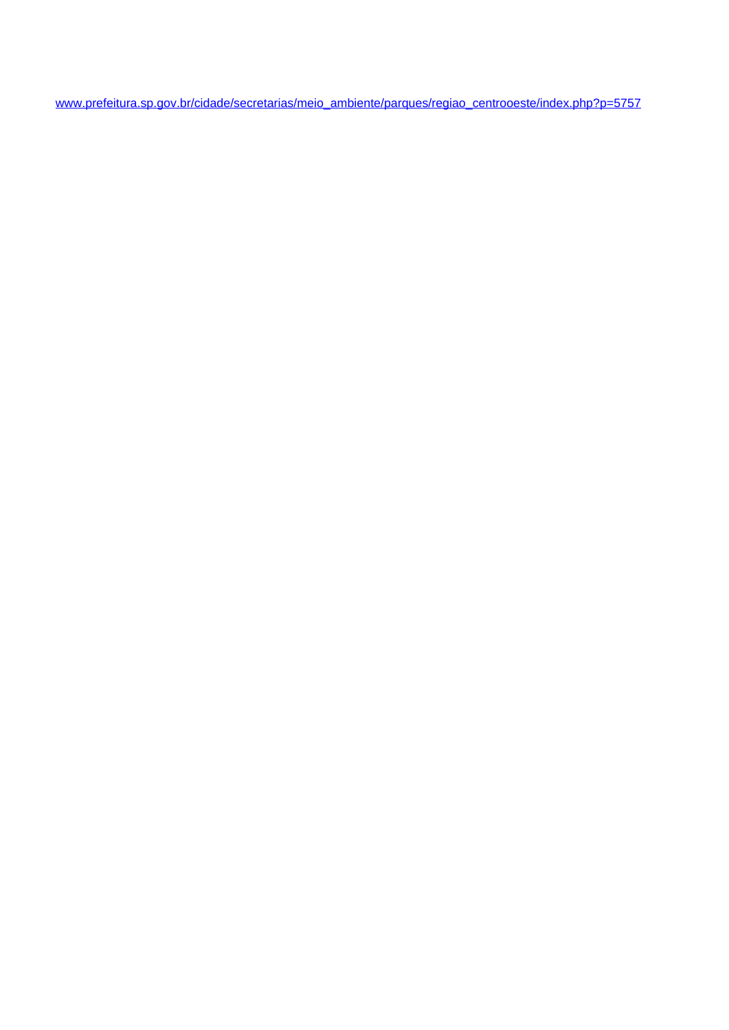www.prefeitura.sp.gov.br/cidade/secretarias/meio\_ambiente/parques/regiao\_centrooeste/index.php?p=5757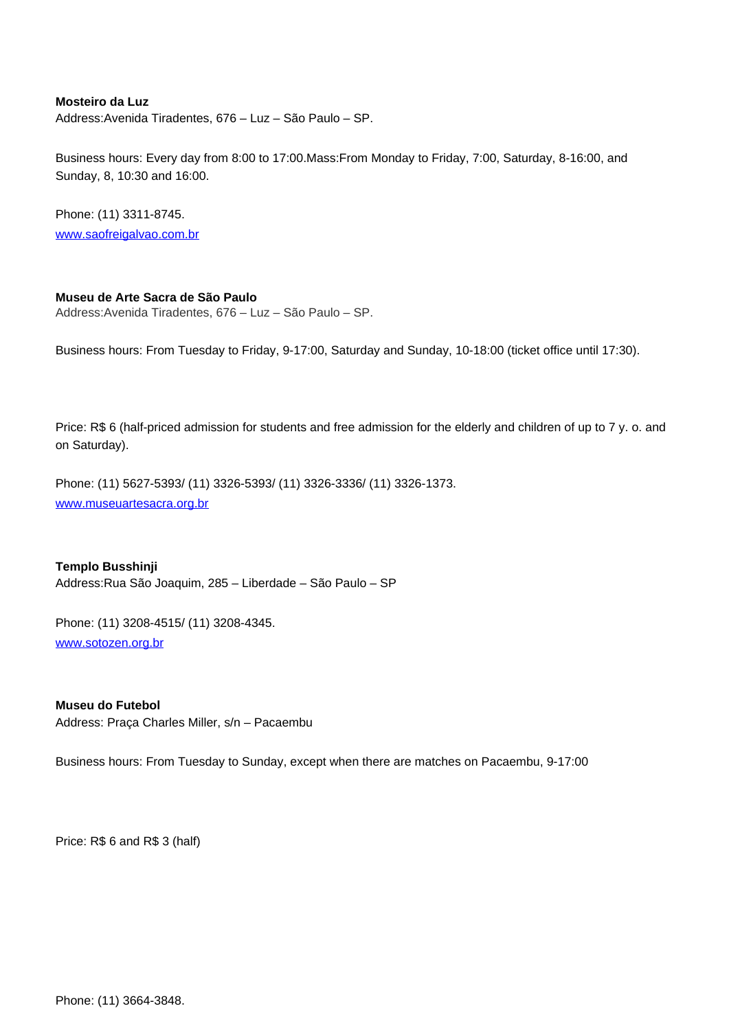## **Mosteiro da Luz**

Address:Avenida Tiradentes, 676 – Luz – São Paulo – SP.

Business hours: Every day from 8:00 to 17:00.Mass:From Monday to Friday, 7:00, Saturday, 8-16:00, and Sunday, 8, 10:30 and 16:00.

Phone: (11) 3311-8745. www.saofreigalvao.com.br

# **Museu de Arte Sacra de São Paulo**

Address:Avenida Tiradentes, 676 – Luz – São Paulo – SP.

Business hours: From Tuesday to Friday, 9-17:00, Saturday and Sunday, 10-18:00 (ticket office until 17:30).

Price: R\$ 6 (half-priced admission for students and free admission for the elderly and children of up to 7 y. o. and on Saturday).

Phone: (11) 5627-5393/ (11) 3326-5393/ (11) 3326-3336/ (11) 3326-1373. www.museuartesacra.org.br

**Templo Busshinji** Address:Rua São Joaquim, 285 – Liberdade – São Paulo – SP

Phone: (11) 3208-4515/ (11) 3208-4345. www.sotozen.org.br

**Museu do Futebol** Address: Praça Charles Miller, s/n – Pacaembu

Business hours: From Tuesday to Sunday, except when there are matches on Pacaembu, 9-17:00

Price: R\$ 6 and R\$ 3 (half)